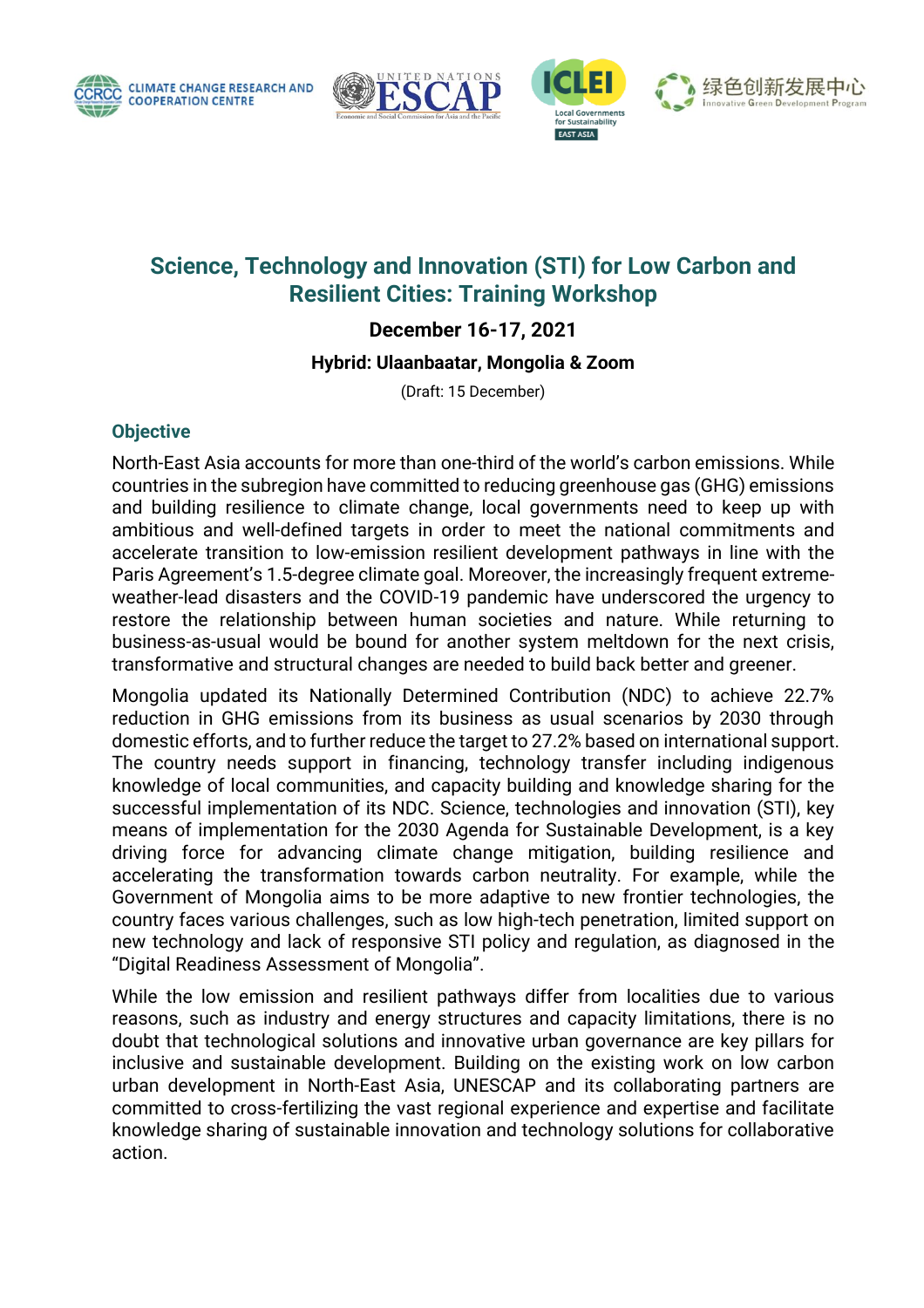







# **Science, Technology and Innovation (STI) for Low Carbon and Resilient Cities: Training Workshop**

**December 16-17, 2021** 

**Hybrid: Ulaanbaatar, Mongolia & Zoom**

(Draft: 15 December)

#### **Objective**

North-East Asia accounts for more than one-third of the world's carbon emissions. While countries in the subregion have committed to reducing greenhouse gas (GHG) emissions and building resilience to climate change, local governments need to keep up with ambitious and well-defined targets in order to meet the national commitments and accelerate transition to low-emission resilient development pathways in line with the Paris Agreement's 1.5-degree climate goal. Moreover, the increasingly frequent extremeweather-lead disasters and the COVID-19 pandemic have underscored the urgency to restore the relationship between human societies and nature. While returning to business-as-usual would be bound for another system meltdown for the next crisis, transformative and structural changes are needed to build back better and greener.

Mongolia updated its Nationally Determined Contribution (NDC) to achieve 22.7% reduction in GHG emissions from its business as usual scenarios by 2030 through domestic efforts, and to further reduce the target to 27.2% based on international support. The country needs support in financing, technology transfer including indigenous knowledge of local communities, and capacity building and knowledge sharing for the successful implementation of its NDC. Science, technologies and innovation (STI), key means of implementation for the 2030 Agenda for Sustainable Development, is a key driving force for advancing climate change mitigation, building resilience and accelerating the transformation towards carbon neutrality. For example, while the Government of Mongolia aims to be more adaptive to new frontier technologies, the country faces various challenges, such as low high-tech penetration, limited support on new technology and lack of responsive STI policy and regulation, as diagnosed in the "Digital Readiness Assessment of Mongolia".

While the low emission and resilient pathways differ from localities due to various reasons, such as industry and energy structures and capacity limitations, there is no doubt that technological solutions and innovative urban governance are key pillars for inclusive and sustainable development. Building on the existing work on low carbon urban development in North-East Asia, UNESCAP and its collaborating partners are committed to cross-fertilizing the vast regional experience and expertise and facilitate knowledge sharing of sustainable innovation and technology solutions for collaborative action.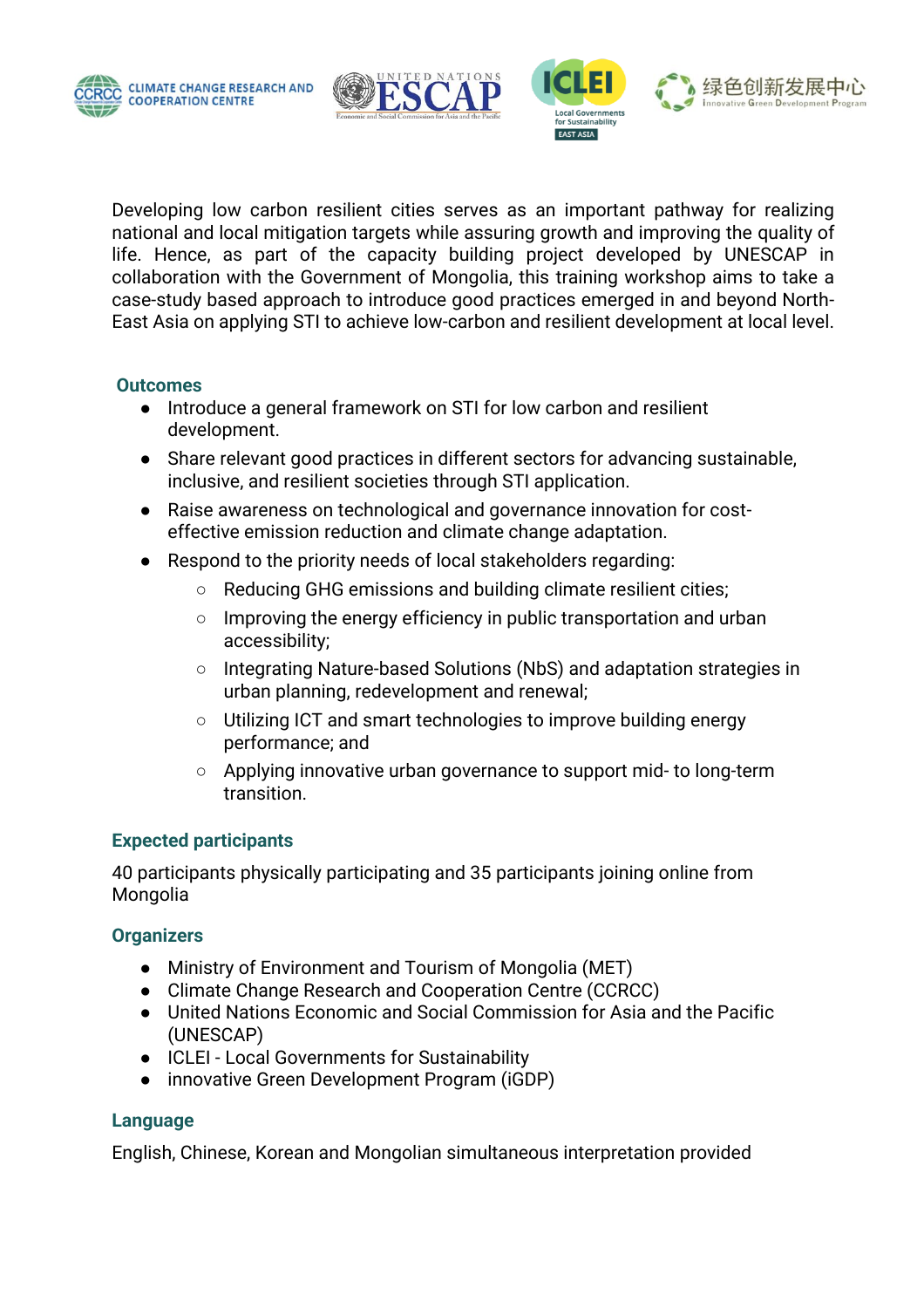





Developing low carbon resilient cities serves as an important pathway for realizing national and local mitigation targets while assuring growth and improving the quality of life. Hence, as part of the capacity building project developed by UNESCAP in collaboration with the Government of Mongolia, this training workshop aims to take a case-study based approach to introduce good practices emerged in and beyond North-East Asia on applying STI to achieve low-carbon and resilient development at local level.

#### **Outcomes**

- Introduce a general framework on STI for low carbon and resilient development.
- Share relevant good practices in different sectors for advancing sustainable, inclusive, and resilient societies through STI application.
- Raise awareness on technological and governance innovation for costeffective emission reduction and climate change adaptation.
- Respond to the priority needs of local stakeholders regarding:
	- Reducing GHG emissions and building climate resilient cities;
	- Improving the energy efficiency in public transportation and urban accessibility;
	- Integrating Nature-based Solutions (NbS) and adaptation strategies in urban planning, redevelopment and renewal;
	- Utilizing ICT and smart technologies to improve building energy performance; and
	- Applying innovative urban governance to support mid- to long-term transition.

#### **Expected participants**

40 participants physically participating and 35 participants joining online from Mongolia

#### **Organizers**

- Ministry of Environment and Tourism of Mongolia (MET)
- Climate Change Research and Cooperation Centre (CCRCC)
- United Nations Economic and Social Commission for Asia and the Pacific (UNESCAP)
- ICLEI Local Governments for Sustainability
- innovative Green Development Program (iGDP)

#### **Language**

English, Chinese, Korean and Mongolian simultaneous interpretation provided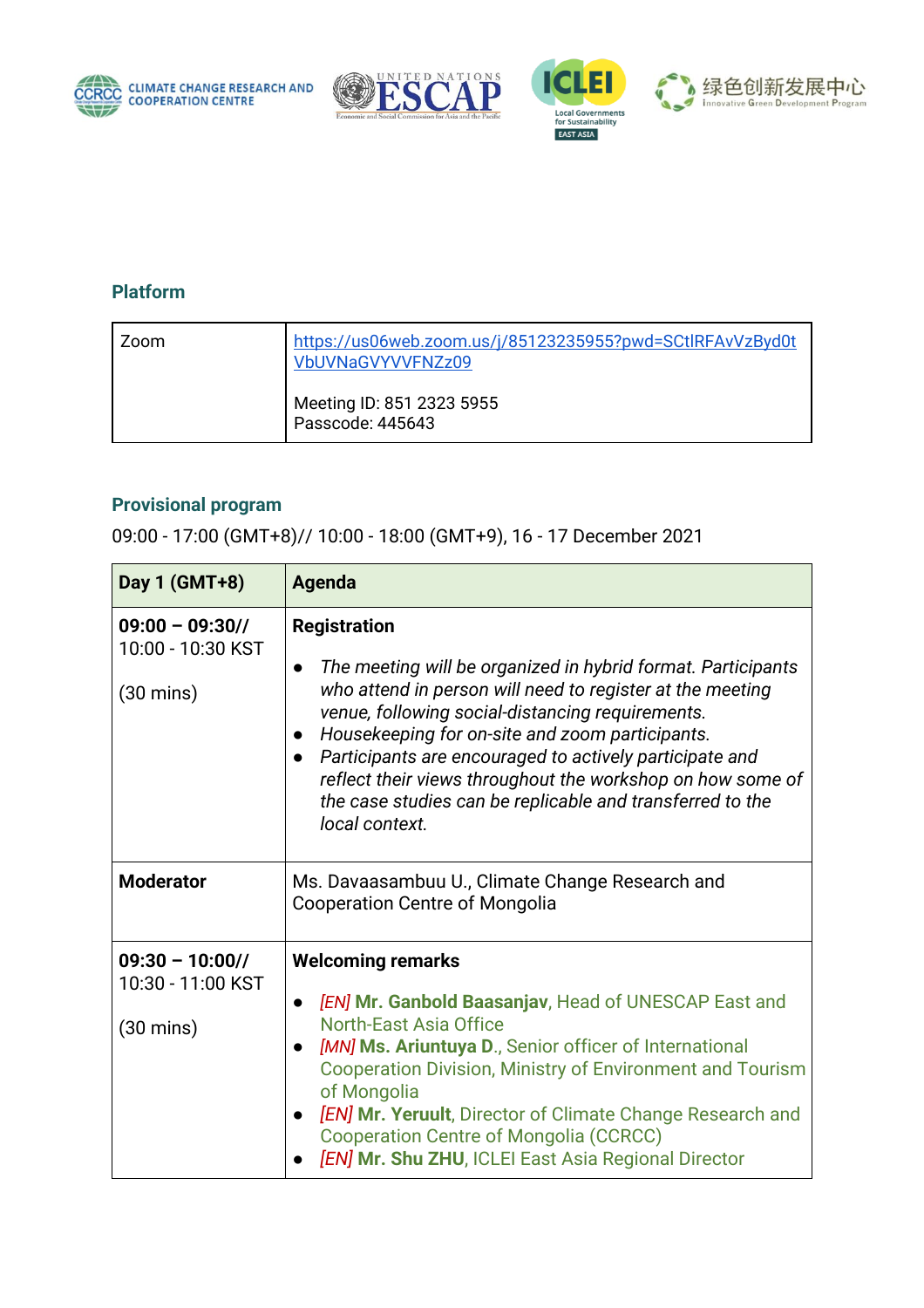







### **Platform**

| Zoom | https://us06web.zoom.us/j/85123235955?pwd=SCtlRFAvVzByd0t<br>VbUVNaGVYVVFNZz09 |
|------|--------------------------------------------------------------------------------|
|      | Meeting ID: 851 2323 5955<br>Passcode: 445643                                  |

## **Provisional program**

09:00 - 17:00 (GMT+8)// 10:00 - 18:00 (GMT+9), 16 - 17 December 2021

| Day 1 (GMT+8)                                               | Agenda                                                                                                                                                                                                                                                                                                                                                                                                                                                                                                 |
|-------------------------------------------------------------|--------------------------------------------------------------------------------------------------------------------------------------------------------------------------------------------------------------------------------------------------------------------------------------------------------------------------------------------------------------------------------------------------------------------------------------------------------------------------------------------------------|
| $09:00 - 09:30$<br>10:00 - 10:30 KST<br>$(30 \text{ mins})$ | <b>Registration</b><br>The meeting will be organized in hybrid format. Participants<br>$\bullet$<br>who attend in person will need to register at the meeting<br>venue, following social-distancing requirements.<br>Housekeeping for on-site and zoom participants.<br>$\bullet$<br>Participants are encouraged to actively participate and<br>$\bullet$<br>reflect their views throughout the workshop on how some of<br>the case studies can be replicable and transferred to the<br>local context. |
| <b>Moderator</b>                                            | Ms. Davaasambuu U., Climate Change Research and<br><b>Cooperation Centre of Mongolia</b>                                                                                                                                                                                                                                                                                                                                                                                                               |
| $09:30 - 10:00$<br>10:30 - 11:00 KST<br>$(30 \text{ mins})$ | <b>Welcoming remarks</b><br>[EN] Mr. Ganbold Baasanjav, Head of UNESCAP East and<br>$\bullet$<br><b>North-East Asia Office</b><br>[MN] Ms. Ariuntuya D., Senior officer of International<br>Cooperation Division, Ministry of Environment and Tourism<br>of Mongolia<br>[EN] Mr. Yeruult, Director of Climate Change Research and<br><b>Cooperation Centre of Mongolia (CCRCC)</b><br><b>[EN] Mr. Shu ZHU, ICLEI East Asia Regional Director</b>                                                       |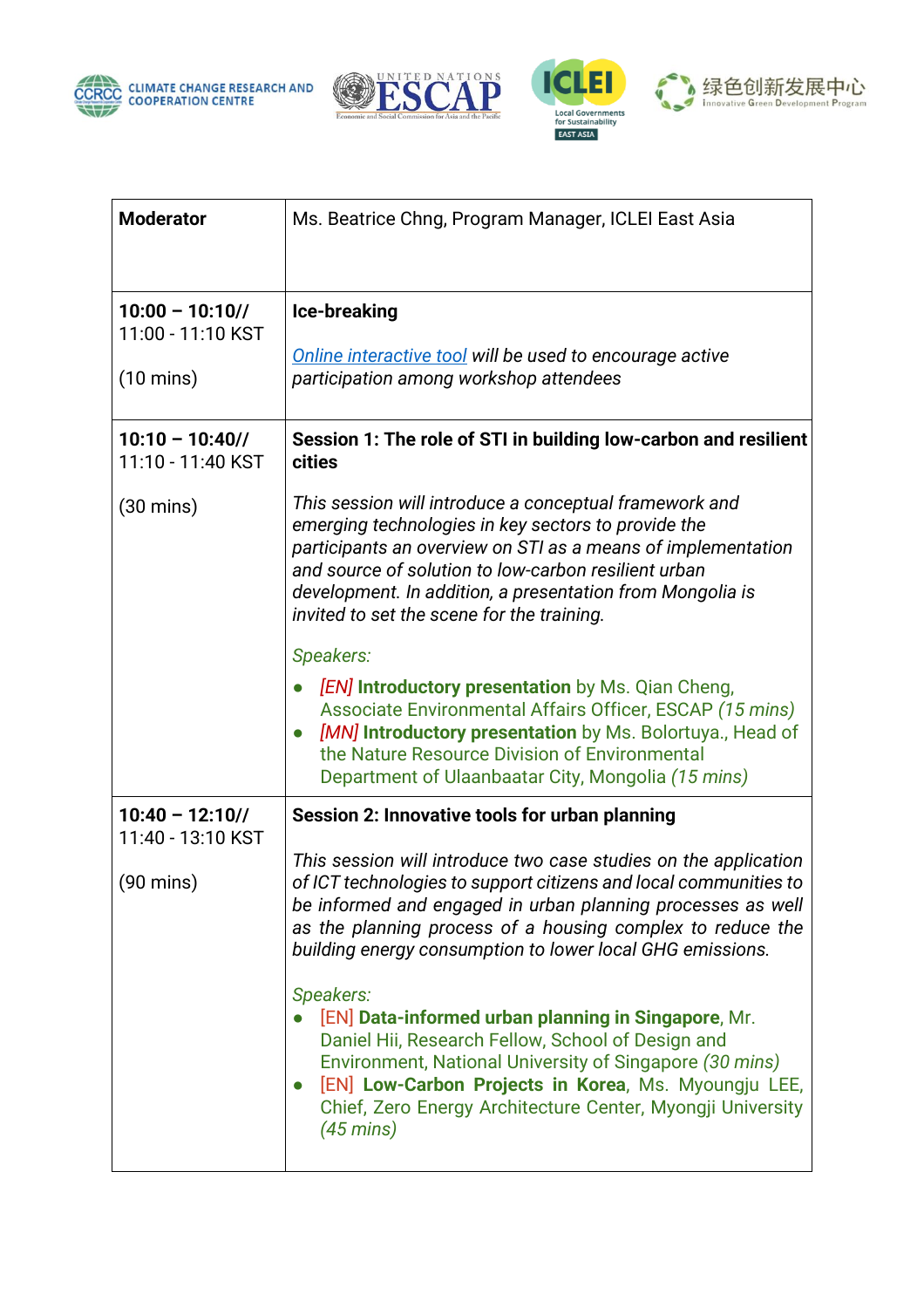







| <b>Moderator</b>                     | Ms. Beatrice Chng, Program Manager, ICLEI East Asia                                                                                                                                                                                                                                                                                              |
|--------------------------------------|--------------------------------------------------------------------------------------------------------------------------------------------------------------------------------------------------------------------------------------------------------------------------------------------------------------------------------------------------|
| $10:00 - 10:10$<br>11:00 - 11:10 KST | Ice-breaking                                                                                                                                                                                                                                                                                                                                     |
| $(10 \text{ mins})$                  | Online interactive tool will be used to encourage active<br>participation among workshop attendees                                                                                                                                                                                                                                               |
| $10:10 - 10:40$<br>11:10 - 11:40 KST | Session 1: The role of STI in building low-carbon and resilient<br><b>cities</b>                                                                                                                                                                                                                                                                 |
| $(30 \text{ mins})$                  | This session will introduce a conceptual framework and<br>emerging technologies in key sectors to provide the<br>participants an overview on STI as a means of implementation<br>and source of solution to low-carbon resilient urban<br>development. In addition, a presentation from Mongolia is<br>invited to set the scene for the training. |
|                                      | Speakers:                                                                                                                                                                                                                                                                                                                                        |
|                                      | [EN] Introductory presentation by Ms. Qian Cheng,<br>Associate Environmental Affairs Officer, ESCAP (15 mins)<br>[MN] Introductory presentation by Ms. Bolortuya., Head of<br>$\bullet$<br>the Nature Resource Division of Environmental<br>Department of Ulaanbaatar City, Mongolia (15 mins)                                                   |
| $10:40 - 12:10$<br>11:40 - 13:10 KST | <b>Session 2: Innovative tools for urban planning</b>                                                                                                                                                                                                                                                                                            |
| $(90 \text{ mins})$                  | This session will introduce two case studies on the application<br>of ICT technologies to support citizens and local communities to<br>be informed and engaged in urban planning processes as well<br>as the planning process of a housing complex to reduce the<br>building energy consumption to lower local GHG emissions.                    |
|                                      | Speakers:<br>[EN] Data-informed urban planning in Singapore, Mr.<br>Daniel Hii, Research Fellow, School of Design and<br>Environment, National University of Singapore (30 mins)<br>[EN] Low-Carbon Projects in Korea, Ms. Myoungju LEE,<br>$\bullet$<br>Chief, Zero Energy Architecture Center, Myongji University<br>$(45 \text{ mins})$       |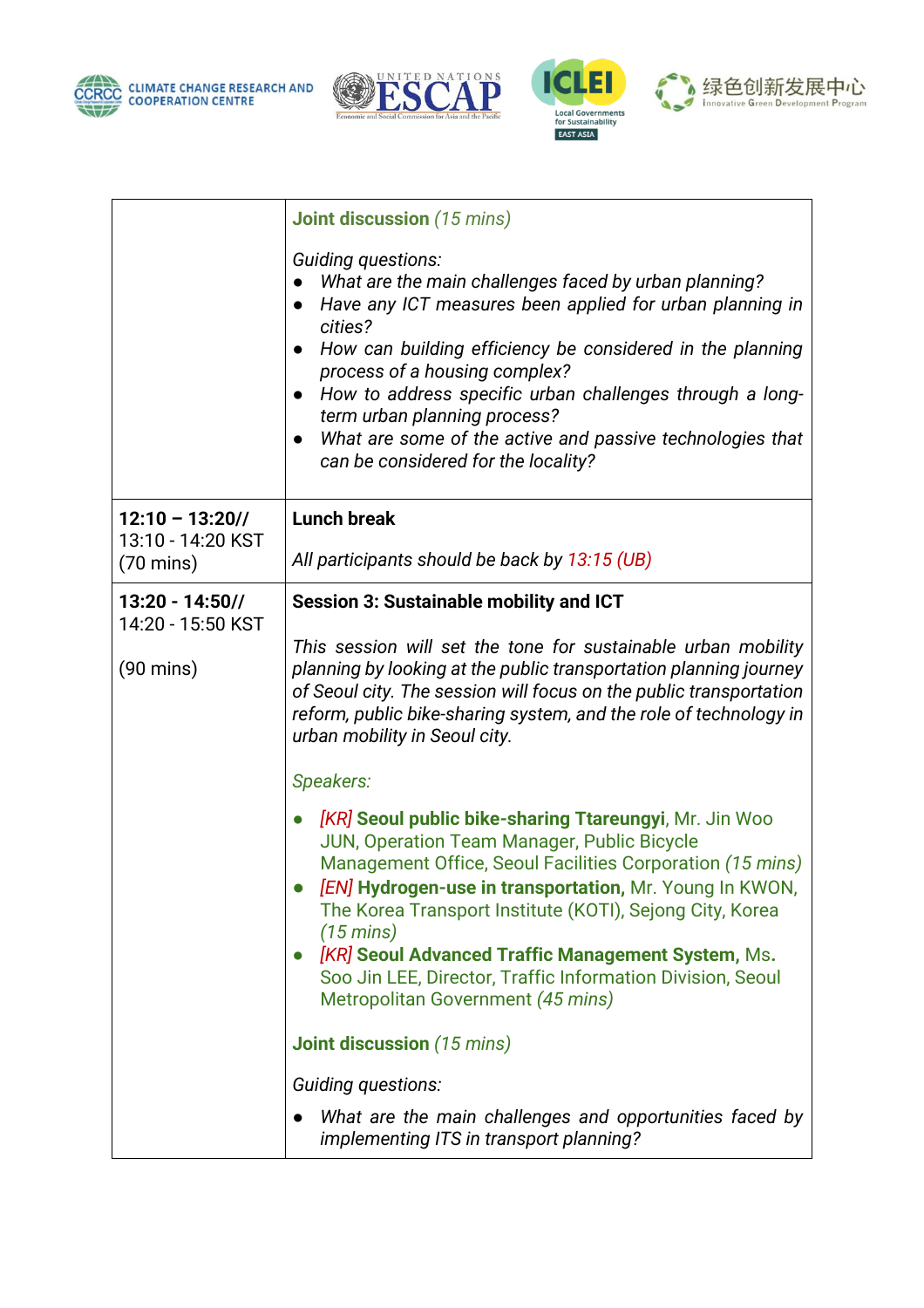







|                                          | <b>Joint discussion</b> (15 mins)                                                                                                                                                                                                                                                                                                                                                                                                                                                                    |
|------------------------------------------|------------------------------------------------------------------------------------------------------------------------------------------------------------------------------------------------------------------------------------------------------------------------------------------------------------------------------------------------------------------------------------------------------------------------------------------------------------------------------------------------------|
|                                          | Guiding questions:<br>What are the main challenges faced by urban planning?<br>Have any ICT measures been applied for urban planning in<br>$\bullet$<br>cities?<br>How can building efficiency be considered in the planning<br>$\bullet$<br>process of a housing complex?<br>How to address specific urban challenges through a long-<br>$\bullet$<br>term urban planning process?<br>What are some of the active and passive technologies that<br>$\bullet$<br>can be considered for the locality? |
| $12:10 - 13:20$ //                       | <b>Lunch break</b>                                                                                                                                                                                                                                                                                                                                                                                                                                                                                   |
| 13:10 - 14:20 KST<br>$(70 \text{ mins})$ | All participants should be back by 13:15 (UB)                                                                                                                                                                                                                                                                                                                                                                                                                                                        |
| $13:20 - 14:50$<br>14:20 - 15:50 KST     | <b>Session 3: Sustainable mobility and ICT</b>                                                                                                                                                                                                                                                                                                                                                                                                                                                       |
| $(90 \text{ mins})$                      | This session will set the tone for sustainable urban mobility<br>planning by looking at the public transportation planning journey<br>of Seoul city. The session will focus on the public transportation<br>reform, public bike-sharing system, and the role of technology in<br>urban mobility in Seoul city.                                                                                                                                                                                       |
|                                          | Speakers:                                                                                                                                                                                                                                                                                                                                                                                                                                                                                            |
|                                          | [KR] Seoul public bike-sharing Ttareungyi, Mr. Jin Woo<br>$\bullet$<br>JUN, Operation Team Manager, Public Bicycle<br>Management Office, Seoul Facilities Corporation (15 mins)<br>[EN] Hydrogen-use in transportation, Mr. Young In KWON,<br>The Korea Transport Institute (KOTI), Sejong City, Korea<br>$(15 \text{ mins})$<br><b>[KR] Seoul Advanced Traffic Management System, Ms.</b><br>Soo Jin LEE, Director, Traffic Information Division, Seoul<br>Metropolitan Government (45 mins)        |
|                                          | <b>Joint discussion (15 mins)</b>                                                                                                                                                                                                                                                                                                                                                                                                                                                                    |
|                                          | Guiding questions:                                                                                                                                                                                                                                                                                                                                                                                                                                                                                   |
|                                          | What are the main challenges and opportunities faced by<br>implementing ITS in transport planning?                                                                                                                                                                                                                                                                                                                                                                                                   |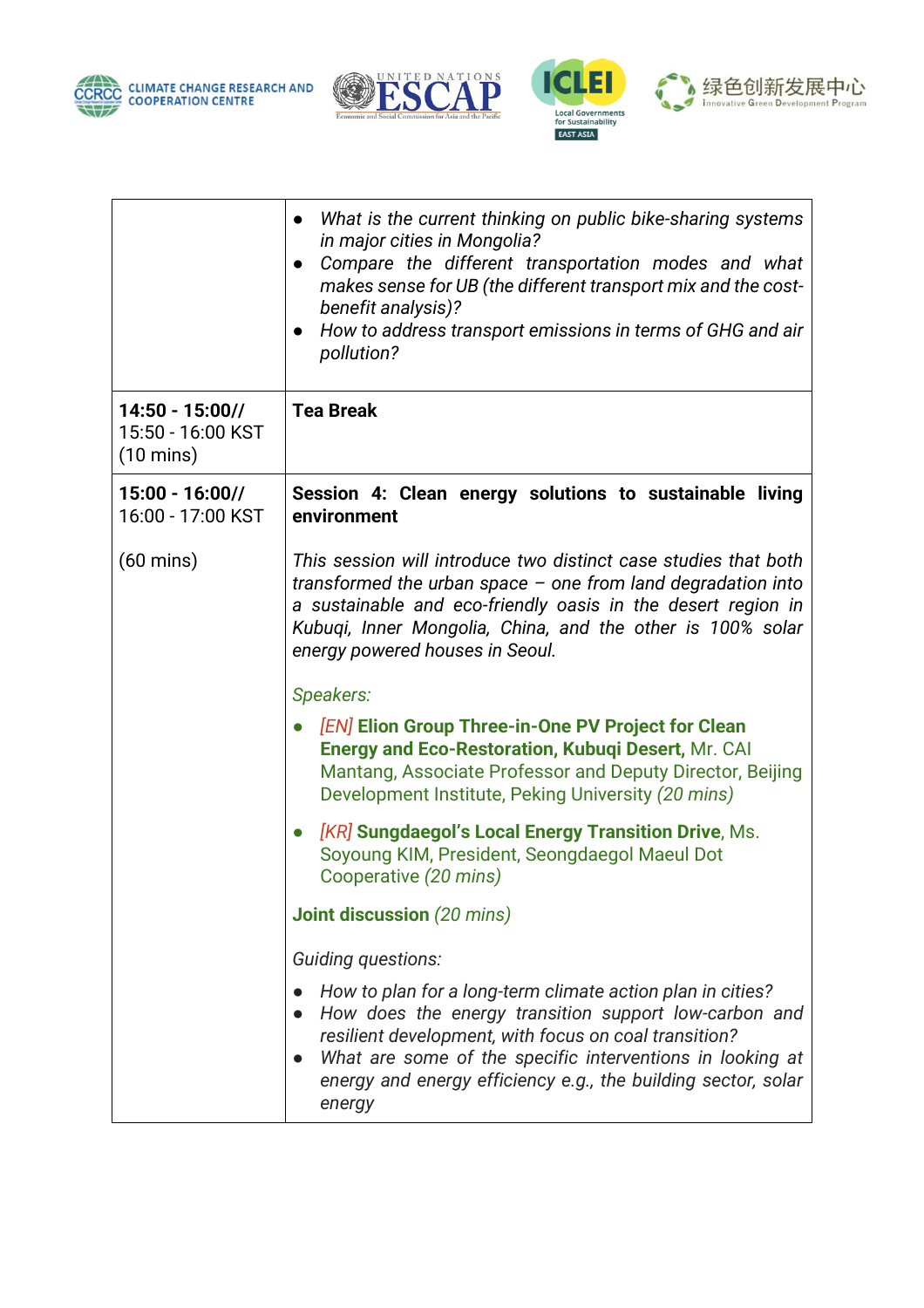







|                                                             | What is the current thinking on public bike-sharing systems<br>$\bullet$<br>in major cities in Mongolia?<br>Compare the different transportation modes and what<br>$\bullet$<br>makes sense for UB (the different transport mix and the cost-<br>benefit analysis)?<br>How to address transport emissions in terms of GHG and air<br>$\bullet$<br>pollution? |
|-------------------------------------------------------------|--------------------------------------------------------------------------------------------------------------------------------------------------------------------------------------------------------------------------------------------------------------------------------------------------------------------------------------------------------------|
| $14:50 - 15:00$<br>15:50 - 16:00 KST<br>$(10 \text{ mins})$ | <b>Tea Break</b>                                                                                                                                                                                                                                                                                                                                             |
| $15:00 - 16:00$<br>16:00 - 17:00 KST                        | Session 4: Clean energy solutions to sustainable living<br>environment                                                                                                                                                                                                                                                                                       |
| $(60 \text{ mins})$                                         | This session will introduce two distinct case studies that both<br>transformed the urban space $-$ one from land degradation into<br>a sustainable and eco-friendly oasis in the desert region in<br>Kubuqi, Inner Mongolia, China, and the other is 100% solar<br>energy powered houses in Seoul.                                                           |
|                                                             | Speakers:<br><b>[EN] Elion Group Three-in-One PV Project for Clean</b><br>Energy and Eco-Restoration, Kubuqi Desert, Mr. CAI<br>Mantang, Associate Professor and Deputy Director, Beijing<br>Development Institute, Peking University (20 mins)<br>[KR] Sungdaegol's Local Energy Transition Drive, Ms.                                                      |
|                                                             | Soyoung KIM, President, Seongdaegol Maeul Dot<br>Cooperative (20 mins)<br><b>Joint discussion</b> (20 mins)                                                                                                                                                                                                                                                  |
|                                                             | Guiding questions:                                                                                                                                                                                                                                                                                                                                           |
|                                                             | How to plan for a long-term climate action plan in cities?<br>How does the energy transition support low-carbon and<br>$\bullet$<br>resilient development, with focus on coal transition?<br>What are some of the specific interventions in looking at<br>$\bullet$<br>energy and energy efficiency e.g., the building sector, solar<br>energy               |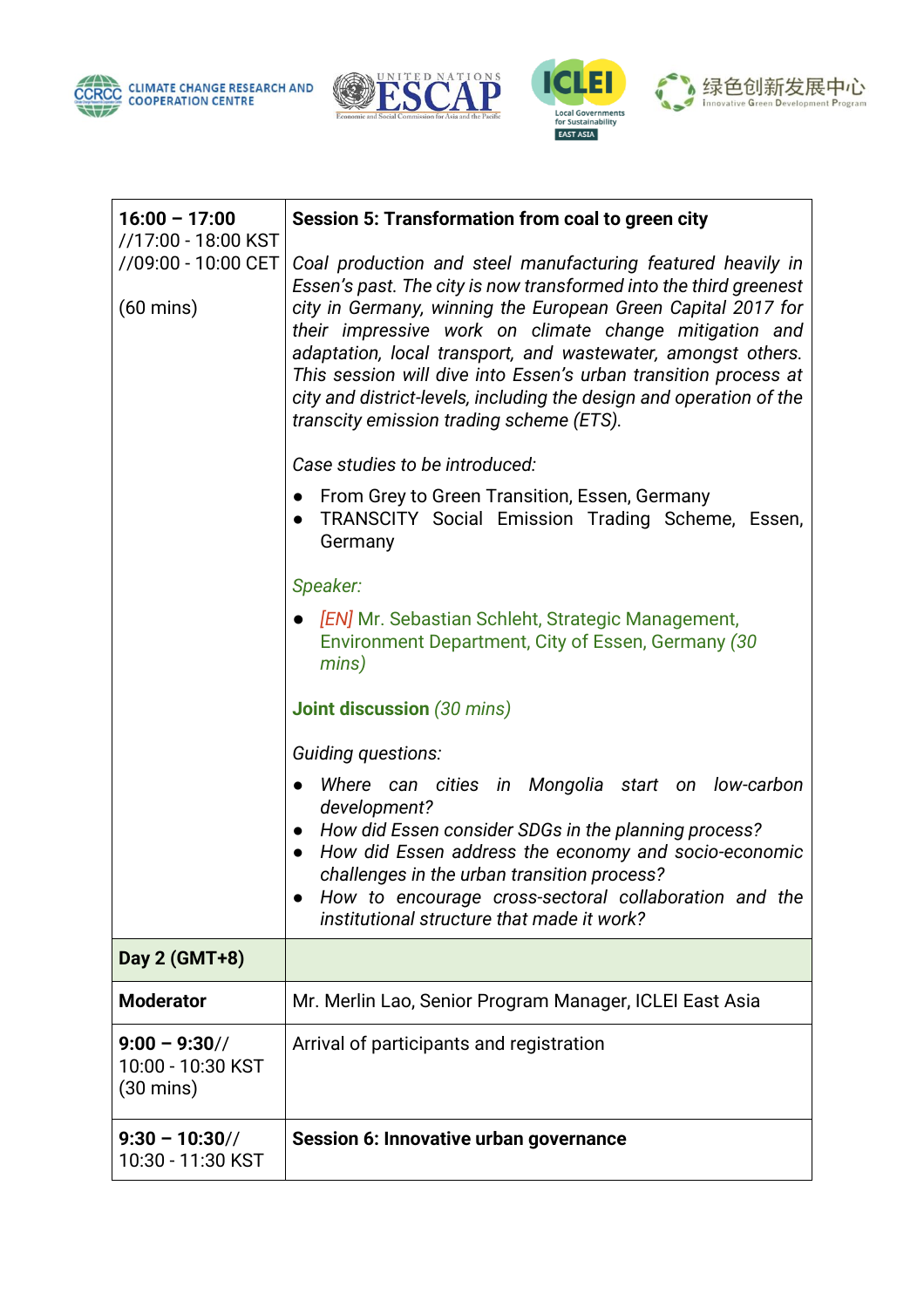







| $16:00 - 17:00$                                                   | Session 5: Transformation from coal to green city                                                                                                                                                                                                                                                                                                                                                                                                                                                                |
|-------------------------------------------------------------------|------------------------------------------------------------------------------------------------------------------------------------------------------------------------------------------------------------------------------------------------------------------------------------------------------------------------------------------------------------------------------------------------------------------------------------------------------------------------------------------------------------------|
| //17:00 - 18:00 KST<br>//09:00 - 10:00 CET<br>$(60 \text{ mins})$ | Coal production and steel manufacturing featured heavily in<br>Essen's past. The city is now transformed into the third greenest<br>city in Germany, winning the European Green Capital 2017 for<br>their impressive work on climate change mitigation and<br>adaptation, local transport, and wastewater, amongst others.<br>This session will dive into Essen's urban transition process at<br>city and district-levels, including the design and operation of the<br>transcity emission trading scheme (ETS). |
|                                                                   | Case studies to be introduced:                                                                                                                                                                                                                                                                                                                                                                                                                                                                                   |
|                                                                   | From Grey to Green Transition, Essen, Germany<br>$\bullet$<br>TRANSCITY Social Emission Trading Scheme, Essen,<br>Germany                                                                                                                                                                                                                                                                                                                                                                                        |
|                                                                   | Speaker:                                                                                                                                                                                                                                                                                                                                                                                                                                                                                                         |
|                                                                   | [EN] Mr. Sebastian Schleht, Strategic Management,<br>Environment Department, City of Essen, Germany (30<br>mins)                                                                                                                                                                                                                                                                                                                                                                                                 |
|                                                                   | <b>Joint discussion (30 mins)</b>                                                                                                                                                                                                                                                                                                                                                                                                                                                                                |
|                                                                   | Guiding questions:                                                                                                                                                                                                                                                                                                                                                                                                                                                                                               |
|                                                                   | Where can cities in Mongolia start on low-carbon<br>development?<br>How did Essen consider SDGs in the planning process?<br>How did Essen address the economy and socio-economic<br>challenges in the urban transition process?<br>How to encourage cross-sectoral collaboration and the<br>institutional structure that made it work?                                                                                                                                                                           |
| Day 2 (GMT+8)                                                     |                                                                                                                                                                                                                                                                                                                                                                                                                                                                                                                  |
| <b>Moderator</b>                                                  | Mr. Merlin Lao, Senior Program Manager, ICLEI East Asia                                                                                                                                                                                                                                                                                                                                                                                                                                                          |
| $9:00 - 9:30$<br>10:00 - 10:30 KST<br>$(30 \text{ mins})$         | Arrival of participants and registration                                                                                                                                                                                                                                                                                                                                                                                                                                                                         |
| $9:30 - 10:30$<br>10:30 - 11:30 KST                               | Session 6: Innovative urban governance                                                                                                                                                                                                                                                                                                                                                                                                                                                                           |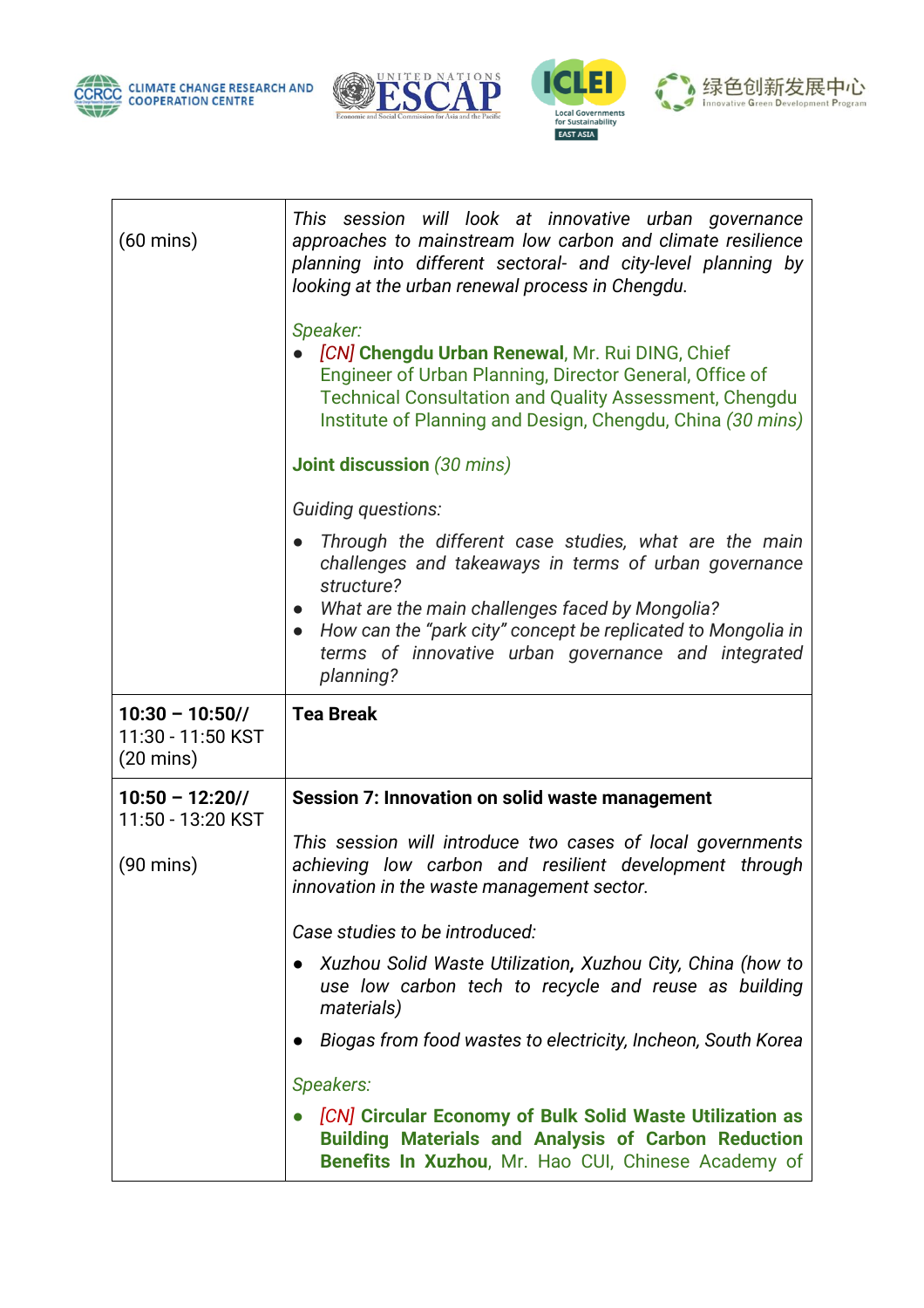







| $(60 \text{ mins})$                                            | This session will look at innovative urban governance<br>approaches to mainstream low carbon and climate resilience<br>planning into different sectoral- and city-level planning by<br>looking at the urban renewal process in Chengdu.<br>Speaker:<br>[CN] Chengdu Urban Renewal, Mr. Rui DING, Chief<br>Engineer of Urban Planning, Director General, Office of<br><b>Technical Consultation and Quality Assessment, Chengdu</b><br>Institute of Planning and Design, Chengdu, China (30 mins)<br><b>Joint discussion</b> (30 mins)<br>Guiding questions:<br>Through the different case studies, what are the main<br>challenges and takeaways in terms of urban governance<br>structure?<br>What are the main challenges faced by Mongolia?<br>$\bullet$<br>How can the "park city" concept be replicated to Mongolia in<br>terms of innovative urban governance and integrated<br>planning? |
|----------------------------------------------------------------|-------------------------------------------------------------------------------------------------------------------------------------------------------------------------------------------------------------------------------------------------------------------------------------------------------------------------------------------------------------------------------------------------------------------------------------------------------------------------------------------------------------------------------------------------------------------------------------------------------------------------------------------------------------------------------------------------------------------------------------------------------------------------------------------------------------------------------------------------------------------------------------------------|
| $10:30 - 10:50$ //<br>11:30 - 11:50 KST<br>$(20 \text{ mins})$ | <b>Tea Break</b>                                                                                                                                                                                                                                                                                                                                                                                                                                                                                                                                                                                                                                                                                                                                                                                                                                                                                |
| $10:50 - 12:20$ //<br>11:50 - 13:20 KST                        | Session 7: Innovation on solid waste management                                                                                                                                                                                                                                                                                                                                                                                                                                                                                                                                                                                                                                                                                                                                                                                                                                                 |
| $(90 \text{ mins})$                                            | This session will introduce two cases of local governments<br>achieving low carbon and resilient development through<br>innovation in the waste management sector.                                                                                                                                                                                                                                                                                                                                                                                                                                                                                                                                                                                                                                                                                                                              |
|                                                                | Case studies to be introduced:                                                                                                                                                                                                                                                                                                                                                                                                                                                                                                                                                                                                                                                                                                                                                                                                                                                                  |
|                                                                | Xuzhou Solid Waste Utilization, Xuzhou City, China (how to<br>use low carbon tech to recycle and reuse as building<br>materials)                                                                                                                                                                                                                                                                                                                                                                                                                                                                                                                                                                                                                                                                                                                                                                |
|                                                                | Biogas from food wastes to electricity, Incheon, South Korea                                                                                                                                                                                                                                                                                                                                                                                                                                                                                                                                                                                                                                                                                                                                                                                                                                    |
|                                                                | Speakers:                                                                                                                                                                                                                                                                                                                                                                                                                                                                                                                                                                                                                                                                                                                                                                                                                                                                                       |
|                                                                | [CN] Circular Economy of Bulk Solid Waste Utilization as<br><b>Building Materials and Analysis of Carbon Reduction</b><br>Benefits In Xuzhou, Mr. Hao CUI, Chinese Academy of                                                                                                                                                                                                                                                                                                                                                                                                                                                                                                                                                                                                                                                                                                                   |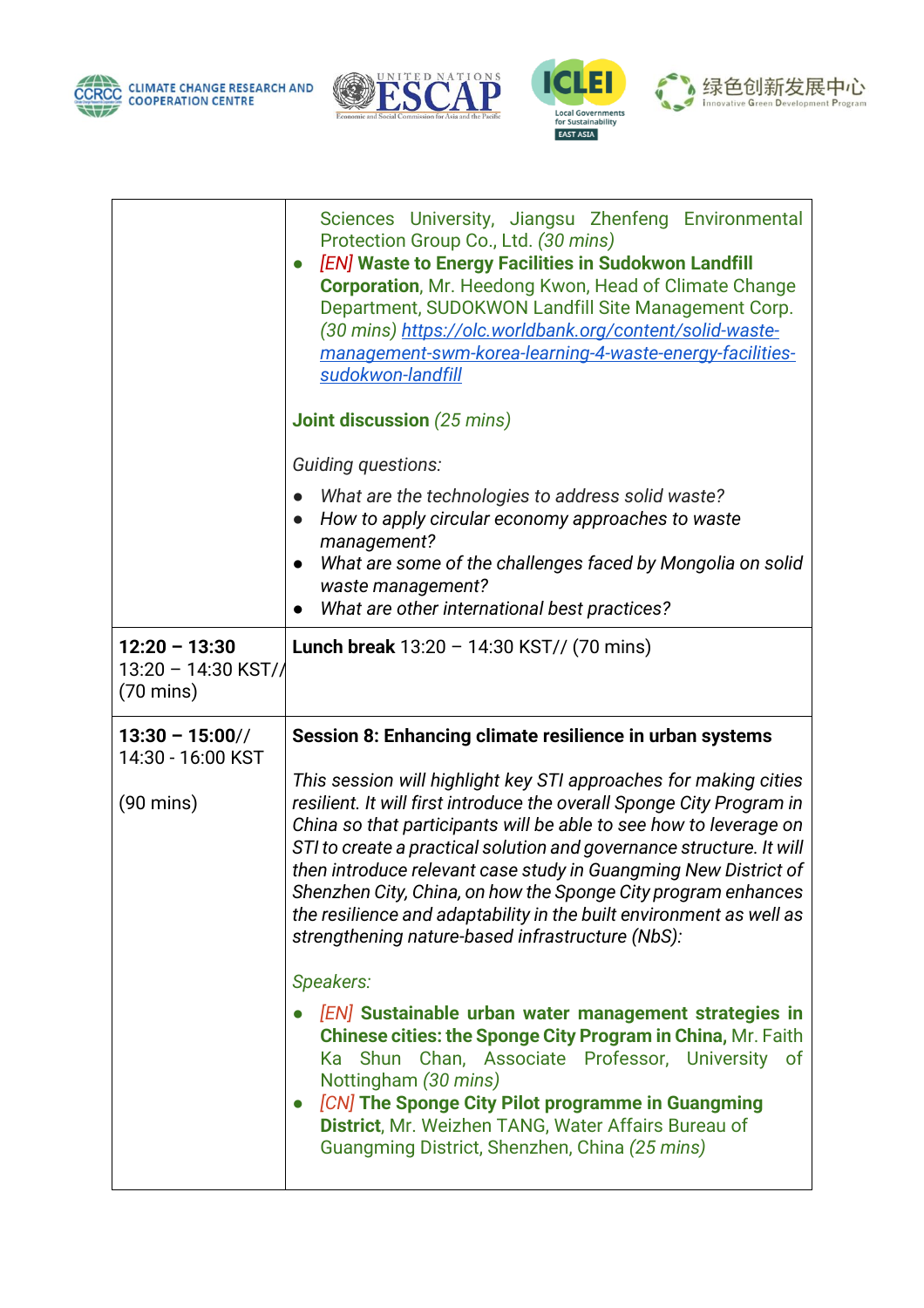







|                                            | Sciences University, Jiangsu Zhenfeng Environmental<br>Protection Group Co., Ltd. (30 mins)<br><b>[EN] Waste to Energy Facilities in Sudokwon Landfill</b><br>$\bullet$<br>Corporation, Mr. Heedong Kwon, Head of Climate Change<br>Department, SUDOKWON Landfill Site Management Corp.<br>(30 mins) https://olc.worldbank.org/content/solid-waste-                                                                                                                                                                                                   |
|--------------------------------------------|-------------------------------------------------------------------------------------------------------------------------------------------------------------------------------------------------------------------------------------------------------------------------------------------------------------------------------------------------------------------------------------------------------------------------------------------------------------------------------------------------------------------------------------------------------|
|                                            | management-swm-korea-learning-4-waste-energy-facilities-<br>sudokwon-landfill                                                                                                                                                                                                                                                                                                                                                                                                                                                                         |
|                                            | <b>Joint discussion</b> (25 mins)                                                                                                                                                                                                                                                                                                                                                                                                                                                                                                                     |
|                                            | Guiding questions:                                                                                                                                                                                                                                                                                                                                                                                                                                                                                                                                    |
|                                            | What are the technologies to address solid waste?<br>How to apply circular economy approaches to waste<br>$\bullet$<br>management?                                                                                                                                                                                                                                                                                                                                                                                                                    |
|                                            | What are some of the challenges faced by Mongolia on solid<br>waste management?<br>What are other international best practices?                                                                                                                                                                                                                                                                                                                                                                                                                       |
| $12:20 - 13:30$                            | <b>Lunch break</b> $13:20 - 14:30$ KST// (70 mins)                                                                                                                                                                                                                                                                                                                                                                                                                                                                                                    |
| 13:20 - 14:30 KST//<br>$(70 \text{ mins})$ |                                                                                                                                                                                                                                                                                                                                                                                                                                                                                                                                                       |
| $13:30 - 15:00$<br>14:30 - 16:00 KST       | Session 8: Enhancing climate resilience in urban systems                                                                                                                                                                                                                                                                                                                                                                                                                                                                                              |
| $(90 \text{ mins})$                        | This session will highlight key STI approaches for making cities<br>resilient. It will first introduce the overall Sponge City Program in<br>China so that participants will be able to see how to leverage on<br>STI to create a practical solution and governance structure. It will<br>then introduce relevant case study in Guangming New District of<br>Shenzhen City, China, on how the Sponge City program enhances<br>the resilience and adaptability in the built environment as well as<br>strengthening nature-based infrastructure (NbS): |
|                                            | Speakers:<br>[EN] Sustainable urban water management strategies in<br>Chinese cities: the Sponge City Program in China, Mr. Faith<br>Ka Shun Chan, Associate Professor, University of<br>Nottingham (30 mins)<br>[CN] The Sponge City Pilot programme in Guangming<br>District, Mr. Weizhen TANG, Water Affairs Bureau of<br>Guangming District, Shenzhen, China (25 mins)                                                                                                                                                                            |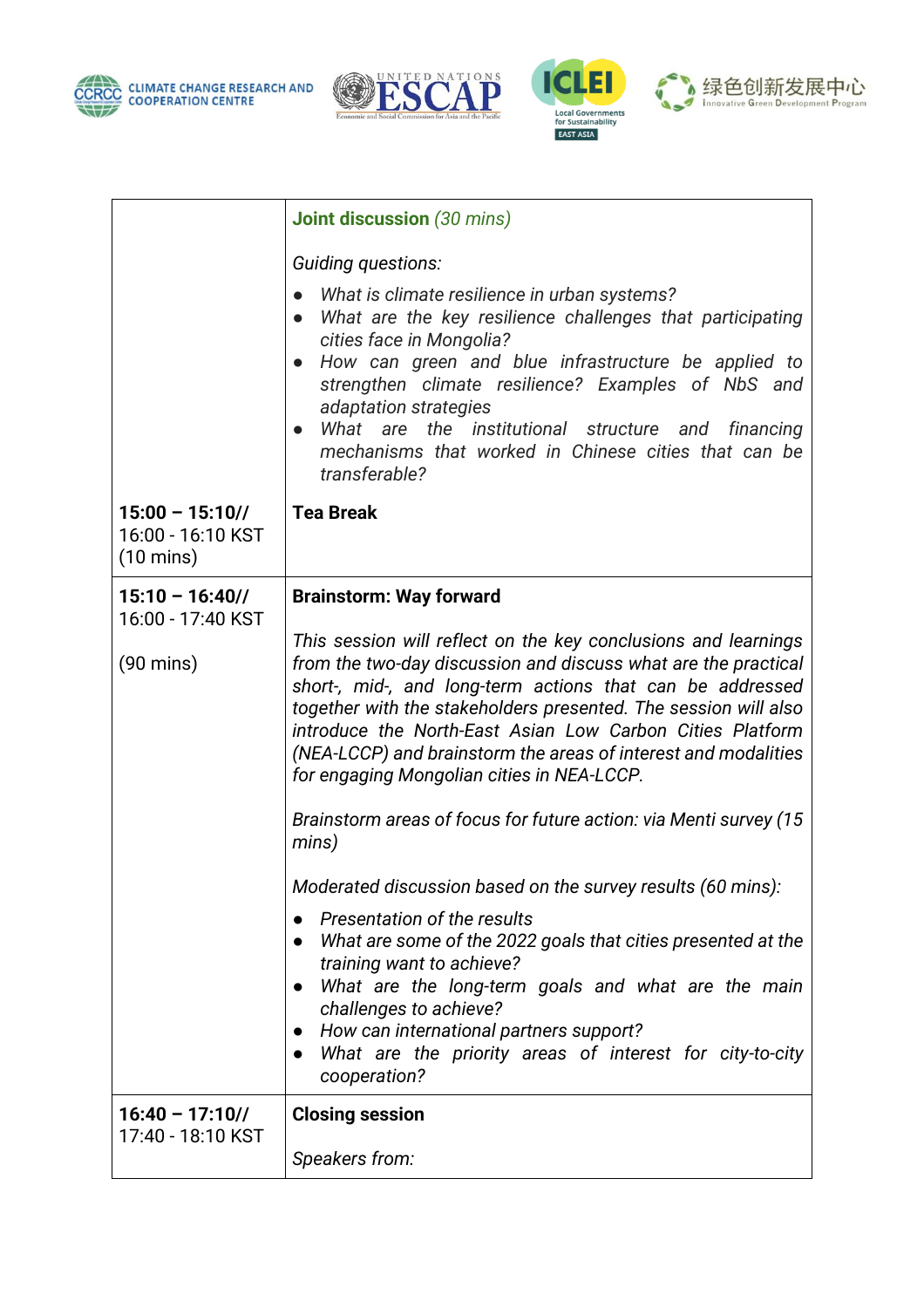







|                                                             | <b>Joint discussion</b> (30 mins)                                                                                                                                                                                                                                                                                                                                                                                                                                                                                           |
|-------------------------------------------------------------|-----------------------------------------------------------------------------------------------------------------------------------------------------------------------------------------------------------------------------------------------------------------------------------------------------------------------------------------------------------------------------------------------------------------------------------------------------------------------------------------------------------------------------|
|                                                             | Guiding questions:                                                                                                                                                                                                                                                                                                                                                                                                                                                                                                          |
|                                                             | What is climate resilience in urban systems?<br>$\bullet$<br>What are the key resilience challenges that participating<br>cities face in Mongolia?<br>How can green and blue infrastructure be applied to<br>strengthen climate resilience? Examples of NbS and<br>adaptation strategies<br>What are the institutional structure and financing<br>mechanisms that worked in Chinese cities that can be<br>transferable?                                                                                                     |
| $15:00 - 15:10$<br>16:00 - 16:10 KST<br>$(10 \text{ mins})$ | <b>Tea Break</b>                                                                                                                                                                                                                                                                                                                                                                                                                                                                                                            |
| $15:10 - 16:40/$<br>16:00 - 17:40 KST                       | <b>Brainstorm: Way forward</b>                                                                                                                                                                                                                                                                                                                                                                                                                                                                                              |
| $(90 \text{ mins})$                                         | This session will reflect on the key conclusions and learnings<br>from the two-day discussion and discuss what are the practical<br>short-, mid-, and long-term actions that can be addressed<br>together with the stakeholders presented. The session will also<br>introduce the North-East Asian Low Carbon Cities Platform<br>(NEA-LCCP) and brainstorm the areas of interest and modalities<br>for engaging Mongolian cities in NEA-LCCP.<br>Brainstorm areas of focus for future action: via Menti survey (15<br>mins) |
|                                                             | Moderated discussion based on the survey results (60 mins):<br>Presentation of the results<br>What are some of the 2022 goals that cities presented at the<br>training want to achieve?<br>What are the long-term goals and what are the main<br>challenges to achieve?<br>How can international partners support?<br>$\bullet$<br>What are the priority areas of interest for city-to-city<br>cooperation?                                                                                                                 |
| $16:40 - 17:10$<br>17:40 - 18:10 KST                        | <b>Closing session</b><br>Speakers from:                                                                                                                                                                                                                                                                                                                                                                                                                                                                                    |